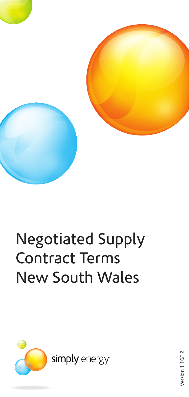

# Negotiated Supply Contract Terms New South Wales



Version 110/12 Version 1 10/12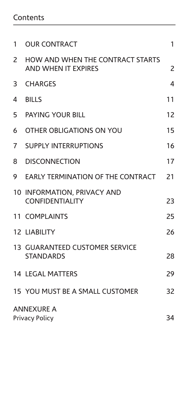### Contents

| 1                                                | <b>OUR CONTRACT</b>                                            | 1  |  |  |
|--------------------------------------------------|----------------------------------------------------------------|----|--|--|
| 2                                                | HOW AND WHEN THE CONTRACT STARTS<br><b>AND WHEN IT EXPIRES</b> | 2  |  |  |
| 3                                                | <b>CHARGES</b>                                                 | 4  |  |  |
| 4                                                | <b>BILLS</b>                                                   | 11 |  |  |
| 5                                                | <b>PAYING YOUR BILL</b>                                        | 12 |  |  |
| 6                                                | OTHER OBLIGATIONS ON YOU                                       | 15 |  |  |
| 7                                                | <b>SUPPLY INTERRUPTIONS</b>                                    | 16 |  |  |
| 8                                                | <b>DISCONNECTION</b>                                           | 17 |  |  |
| 9                                                | EARLY TERMINATION OF THE CONTRACT                              | 21 |  |  |
|                                                  | 10 INFORMATION, PRIVACY AND<br><b>CONFIDENTIALITY</b>          | 23 |  |  |
|                                                  | 11 COMPLAINTS                                                  | 25 |  |  |
|                                                  | <b>12 LIABILITY</b>                                            | 26 |  |  |
|                                                  | <b>13 GUARANTEED CUSTOMER SERVICE</b><br><b>STANDARDS</b>      | 28 |  |  |
|                                                  | <b>14 LEGAL MATTERS</b>                                        | 29 |  |  |
|                                                  | 15 YOU MUST BE A SMALL CUSTOMER                                | 32 |  |  |
| <b>ANNEXURE A</b><br>34<br><b>Privacy Policy</b> |                                                                |    |  |  |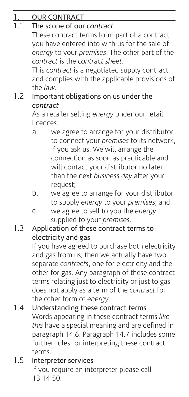| $1_{\cdot}$ | <b>OUR CONTRACT</b>                                           |                                                   |  |  |  |
|-------------|---------------------------------------------------------------|---------------------------------------------------|--|--|--|
| 1.1         | The scope of our contract                                     |                                                   |  |  |  |
|             |                                                               | These contract terms form part of a contract      |  |  |  |
|             |                                                               | you have entered into with us for the sale of     |  |  |  |
|             |                                                               | energy to your premises. The other part of the    |  |  |  |
|             | contract is the contract sheet.                               |                                                   |  |  |  |
|             | This contract is a negotiated supply contract                 |                                                   |  |  |  |
|             |                                                               | and complies with the applicable provisions of    |  |  |  |
|             | the law.                                                      |                                                   |  |  |  |
| 1.2         | Important obligations on us under the<br>contract             |                                                   |  |  |  |
|             |                                                               | As a retailer selling energy under our retail     |  |  |  |
|             | licences:                                                     |                                                   |  |  |  |
|             | a.                                                            | we agree to arrange for your distributor          |  |  |  |
|             |                                                               | to connect your premises to its network,          |  |  |  |
|             |                                                               | if you ask us. We will arrange the                |  |  |  |
|             |                                                               | connection as soon as practicable and             |  |  |  |
|             |                                                               | will contact your distributor no later            |  |  |  |
|             |                                                               | than the next business day after your             |  |  |  |
|             | request;                                                      |                                                   |  |  |  |
|             | b.                                                            | we agree to arrange for your distributor          |  |  |  |
|             |                                                               | to supply energy to your premises; and            |  |  |  |
|             | C.                                                            | we agree to sell to you the energy                |  |  |  |
| 1.3         |                                                               | supplied to your premises.                        |  |  |  |
|             | Application of these contract terms to<br>electricity and gas |                                                   |  |  |  |
|             |                                                               | If you have agreed to purchase both electricity   |  |  |  |
|             |                                                               | and gas from us, then we actually have two        |  |  |  |
|             |                                                               | separate contracts, one for electricity and the   |  |  |  |
|             |                                                               | other for gas. Any paragraph of these contract    |  |  |  |
|             |                                                               | terms relating just to electricity or just to gas |  |  |  |
|             |                                                               | does not apply as a term of the contract for      |  |  |  |
|             | the other form of energy.                                     |                                                   |  |  |  |
| 1.4         |                                                               | Understanding these contract terms                |  |  |  |
|             |                                                               | Words appearing in these contract terms like      |  |  |  |
|             |                                                               | this have a special meaning and are defined in    |  |  |  |
|             |                                                               | paragraph 14.6. Paragraph 14.7 includes some      |  |  |  |
|             |                                                               | further rules for interpreting these contract     |  |  |  |
|             | terms.                                                        |                                                   |  |  |  |

#### 1.5 Interpreter services If you require an interpreter please call 13 14 50.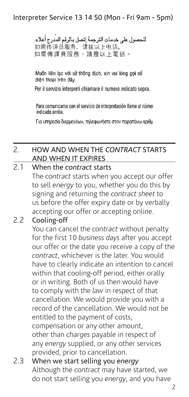#### Interpreter Service 13 14 50 (Mon - Fri 9am - 5pm)

للحصول على خدمات الترجمة إتصل بالرقم المدرج أعلاه. 如需传译员服务,请拨以上电话。 如需傳譯員服務,請撥以上電話。

Muốn liên lạc với sở thông dịch, xin vui lòng gọi số điên thoại trên đây.

Per il servizio interpreti chiamare il numero indicato sopra.

Para comunicarse con el servicio de interpretación llame al númer indicado arriba.

Για υπηρεσία διερμηνέων, τηλεφωνήστε στον παραπάνω αριθμ

#### 2. HOW AND WHEN THE *CONTRACT* STARTS AND WHEN IT EXPIRES

#### 2.1 When the *contract* starts

The *contract* starts when you accept our offer to sell *energy* to you, whether you do this by signing and returning the *contract sheet* to us before the offer expiry date or by verbally accepting our offer or accepting online.

#### 2.2 Cooling-off

You can cancel the *contract* without penalty for the first 10 *business days* after you accept our offer or the date you receive a copy of the *contract*, whichever is the later. You would have to clearly indicate an intention to cancel within that cooling-off period, either orally or in writing. Both of us then would have to comply with the *law* in respect of that cancellation. We would provide you with a record of the cancellation. We would not be entitled to the payment of costs, compensation or any other amount, other than *charges* payable in respect of any *energy* supplied, or any other services provided, prior to cancellation.

#### 2.3 When we start selling you *energy* Although the *contract* may have started, we do not start selling you *energy*, and you have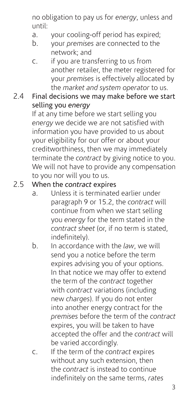no obligation to pay us for *energy*, unless and until:

- a. your cooling-off period has expired;
- b. your *premises* are connected to the network; and
- c. if you are transferring to us from another retailer, the meter registered for your *premises* is effectively allocated by the *market and system operator* to us.

## 2.4 Final decisions we may make before we start selling you *energy*

If at any time before we start selling you *energy* we decide we are not satisfied with information you have provided to us about your eligibility for our offer or about your creditworthiness, then we may immediately terminate the *contract* by giving notice to you. We will not have to provide any compensation to you nor will you to us.

#### 2.5 When the *contract* expires

- a. Unless it is terminated earlier under paragraph 9 or 15.2, the *contract* will continue from when we start selling you *energy* for the term stated in the *contract sheet* (or, if no term is stated, indefinitely).
- b. In accordance with the *law*, we will send you a notice before the term expires advising you of your options. In that notice we may offer to extend the term of the *contract* together with *contract* variations (including new *charges*). If you do not enter into another energy contract for the *premises* before the term of the *contract* expires, you will be taken to have accepted the offer and the *contract* will be varied accordingly.
- c. If the term of the *contract* expires without any such extension, then the *contract* is instead to continue indefinitely on the same terms, *rates*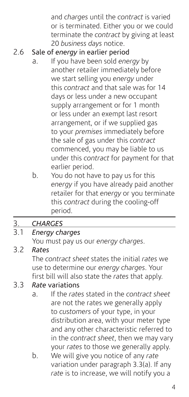and *charges* until the *contract* is varied or is terminated. Either you or we could terminate the *contract* by giving at least 20 *business days* notice.

## 2.6 Sale of *energy* in earlier period

- a. If you have been sold *energy* by another retailer immediately before we start selling you *energy* under this *contract* and that sale was for 14 days or less under a new occupant supply arrangement or for 1 month or less under an exempt last resort arrangement, or if we supplied gas to your *premises* immediately before the sale of gas under this *contract* commenced, you may be liable to us under this *contract* for payment for that earlier period.
- b. You do not have to pay us for this *energy* if you have already paid another retailer for that *energy* or you terminate this *contract* during the cooling-off period.

## 3. *CHARGES*

## 3.1 *Energy charges*

You must pay us our *energy charges*.

## 3.2 *Rates*

The *contract sheet* states the initial *rates* we use to determine our *energy charges*. Your first bill will also state the *rates* that apply.

## 3.3 *Rate* variations

- a. If the *rates* stated in the *contract sheet* are not the rates we generally apply to *customers* of your type, in your distribution area, with your meter type and any other characteristic referred to in the *contract sheet*, then we may vary your *rates* to those we generally apply.
- b. We will give you notice of any *rate* variation under paragraph 3.3(a). If any *rate* is to increase, we will notify you a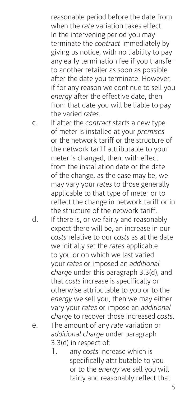reasonable period before the date from when the *rate* variation takes effect. In the intervening period you may terminate the *contract* immediately by giving us notice, with no liability to pay any early termination fee if you transfer to another retailer as soon as possible after the date you terminate. However, if for any reason we continue to sell you *energy* after the effective date, then from that date you will be liable to pay the varied *rates.*

c. If after the *contract* starts a new type of meter is installed at your *premises*  or the network tariff or the structure of the network tariff attributable to your meter is changed, then, with effect from the installation date or the date of the change, as the case may be, we may vary your *rates* to those generally applicable to that type of meter or to reflect the change in network tariff or in the structure of the network tariff.

- d. If there is, or we fairly and reasonably expect there will be, an increase in our *costs* relative to our *costs* as at the date we initially set the *rates* applicable to you or on which we last varied your *rates* or imposed an *additional charge* under this paragraph 3.3(d), and that *costs* increase is specifically or otherwise attributable to you or to the *energy* we sell you, then we may either vary your *rates* or impose an *additional charge* to recover those increased *costs*. e. The amount of any *rate* variation or *additional charge* under paragraph 3.3(d) in respect of:
	- 1. any *costs* increase which is specifically attributable to you or to the *energy* we sell you will fairly and reasonably reflect that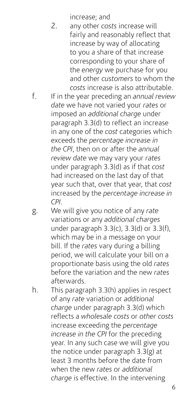increase; and

- 2. any other *costs* increase will fairly and reasonably reflect that increase by way of allocating to you a share of that increase corresponding to your share of the *energy* we purchase for you and other *customers* to whom the *costs* increase is also attributable.
- f. If in the year preceding an *annual review date* we have not varied your *rates* or imposed an *additional charge* under paragraph 3.3(d) to reflect an increase in any one of the *cost* categories which exceeds the *percentage increase in the CPI*, then on or after the *annual review date* we may vary your *rates* under paragraph 3.3(d) as if that *cost* had increased on the last day of that year such that, over that year, that *cost* increased by the *percentage increase in CPI*.
- g. We will give you notice of any *rate* variations or any *additional charges*  under paragraph 3.3(c), 3.3(d) or 3.3(f), which may be in a message on your bill. If the *rates* vary during a billing period, we will calculate your bill on a proportionate basis using the old *rates* before the variation and the new *rates* afterwards.
- h. This paragraph 3.3(h) applies in respect of any *rate* variation or *additional charge* under paragraph 3.3(d) which reflects a *wholesale costs* or *other costs* increase exceeding the *percentage increase in the CPI* for the preceding year. In any such case we will give you the notice under paragraph 3.3(g) at least 3 months before the date from when the new *rates* or *additional charge* is effective. In the intervening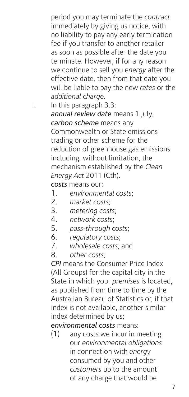period you may terminate the *contract* immediately by giving us notice, with no liability to pay any early termination fee if you transfer to another retailer as soon as possible after the date you terminate. However, if for any reason we continue to sell you *energy* after the effective date, then from that date you will be liable to pay the new *rates* or the *additional charge.*

i. In this paragraph 3.3: *annual review date* means 1 July; *carbon scheme* means any Commonwealth or State emissions trading or other scheme for the reduction of greenhouse gas emissions including, without limitation, the mechanism established by the *Clean Energy Act* 2011 (Cth).

*costs* means our:

- 1. *environmental costs*;
- 2. *market costs*;
- 3. *metering costs*;
- 4. *network costs*;
- 5. *pass-through costs*;
- 6. *regulatory costs*;
- 7. *wholesale costs*; and

8. *other costs*;

*CPI* means the Consumer Price Index (All Groups) for the capital city in the State in which your *premises* is located, as published from time to time by the Australian Bureau of Statistics or, if that index is not available, another similar index determined by us;

*environmental costs* means:

(1) any costs we incur in meeting our *environmental obligations* in connection with *energy* consumed by you and other *customers* up to the amount of any charge that would be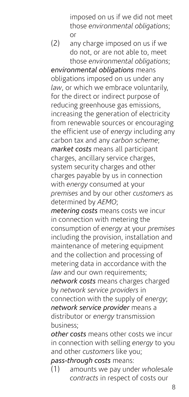imposed on us if we did not meet those *environmental obligations*; or

(2) any charge imposed on us if we do not, or are not able to, meet those *environmental obligations*;

*environmental obligations* means obligations imposed on us under any *law*, or which we embrace voluntarily, for the direct or indirect purpose of reducing greenhouse gas emissions, increasing the generation of electricity from renewable sources or encouraging the efficient use of *energy* including any carbon tax and any *carbon scheme*; *market costs* means all participant charges, ancillary service charges, system security charges and other charges payable by us in connection with *energy* consumed at your *premises* and by our other *customers* as determined by *AEMO*;

*metering costs* means costs we incur in connection with metering the consumption of *energy* at your *premises* including the provision, installation and maintenance of metering equipment and the collection and processing of metering data in accordance with the *law* and our own requirements; *network costs* means charges charged by *network service providers* in connection with the supply of *energy*; *network service provider* means a distributor or *energy* transmission business;

*other costs* means other costs we incur in connection with selling *energy* to you and other *customers* like you;

*pass-through costs* means:

(1) amounts we pay under *wholesale contracts* in respect of costs our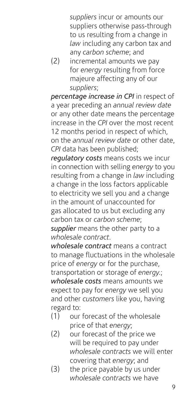*suppliers* incur or amounts our suppliers otherwise pass-through to us resulting from a change in *law* including any carbon tax and any *carbon scheme*; and

(2) incremental amounts we pay for *energy* resulting from force majeure affecting any of our *suppliers*;

*percentage increase in CPI* in respect of a year preceding an *annual review date* or any other date means the percentage increase in the *CPI* over the most recent 12 months period in respect of which, on the *annual review date* or other date, *CPI* data has been published;

*regulatory costs* means costs we incur in connection with selling *energy* to you resulting from a change in *law* including a change in the loss factors applicable to electricity we sell you and a change in the amount of unaccounted for gas allocated to us but excluding any carbon tax or *carbon scheme*; *supplier* means the other party to a

*wholesale contract*.

*wholesale contract* means a contract to manage fluctuations in the wholesale price of *energy* or for the purchase, transportation or storage of *energy.*; *wholesale costs* means amounts we expect to pay for *energy* we sell you and other *customers* like you, having regard to:

- (1) our forecast of the wholesale price of that *energy*;
- (2) our forecast of the price we will be required to pay under *wholesale contracts* we will enter covering that *energy*; and
- (3) the price payable by us under *wholesale contracts* we have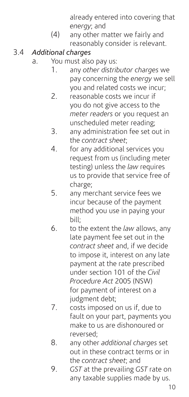already entered into covering that *energy*; and

(4) any other matter we fairly and reasonably consider is relevant.

## 3.4 *Additional charges*

- a. You must also pay us:
	- 1. any *other distributor charges* we pay concerning the *energy* we sell you and related costs we incur;
	- 2. reasonable costs we incur if you do not give access to the *meter readers* or you request an unscheduled meter reading;
	- 3. any administration fee set out in the *contract sheet*;
	- 4. for any additional services you request from us (including meter testing) unless the *law* requires us to provide that service free of charge;
	- 5. any merchant service fees we incur because of the payment method you use in paying your bill;
	- 6. to the extent the *law* allows, any late payment fee set out in the *contract sheet* and, if we decide to impose it, interest on any late payment at the rate prescribed under section 101 of the *Civil Procedure Act* 2005 (NSW) for payment of interest on a judgment debt;
	- 7. costs imposed on us if, due to fault on your part, payments you make to us are dishonoured or reversed;
	- 8. any other *additional charges* set out in these contract terms or in the *contract sheet*; and
	- 9. *GST* at the prevailing *GST* rate on any taxable supplies made by us.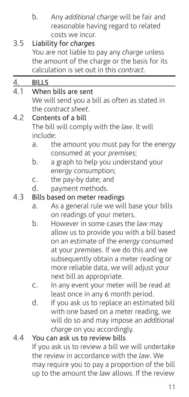b. Any *additional charge* will be fair and reasonable having regard to related costs we incur.

## 3.5 Liability for *charges*

You are not liable to pay any *charge* unless the amount of the charge or the basis for its calculation is set out in this *contract.*

|           |                                               | כסוכטנסנוטה ופ אכנ טטנ ווו נוווא כטוונוסכנ. |  |  |  |
|-----------|-----------------------------------------------|---------------------------------------------|--|--|--|
| <u>4.</u> | <b>BILLS</b>                                  |                                             |  |  |  |
| 4.1       | When bills are sent                           |                                             |  |  |  |
|           | We will send you a bill as often as stated in |                                             |  |  |  |
|           | the contract sheet.                           |                                             |  |  |  |
| 4.2       | Contents of a bill                            |                                             |  |  |  |
|           | The bill will comply with the law. It will    |                                             |  |  |  |
|           | include:                                      |                                             |  |  |  |
|           | a.                                            | the amount you must pay for the energy      |  |  |  |
|           |                                               | consumed at your premises;                  |  |  |  |
|           | b.                                            | a graph to help you understand your         |  |  |  |
|           |                                               | energy consumption;                         |  |  |  |
|           | $\mathsf{C}$ .                                | the pay-by date; and                        |  |  |  |
|           | d.                                            | payment methods.                            |  |  |  |
| 4.3       | Bills based on meter readings                 |                                             |  |  |  |
|           | a.                                            | As a general rule we will base your bills   |  |  |  |
|           |                                               | on readings of your meters.                 |  |  |  |
|           | b.                                            | However in some cases the law may           |  |  |  |
|           |                                               | allow us to provide you with a bill based   |  |  |  |
|           |                                               | on an estimate of the energy consumed       |  |  |  |
|           |                                               | at your premises. If we do this and we      |  |  |  |
|           |                                               | subsequently obtain a meter reading or      |  |  |  |
|           |                                               | more reliable data, we will adjust your     |  |  |  |
|           |                                               | next bill as appropriate.                   |  |  |  |
|           | C.                                            | In any event your meter will be read at     |  |  |  |
|           |                                               | least once in any 6 month period.           |  |  |  |
|           | d.                                            | If you ask us to replace an estimated bill  |  |  |  |
|           |                                               | with one based on a meter reading, we       |  |  |  |
|           |                                               | will do so and may impose an additional     |  |  |  |

#### 4.4 You can ask us to review bills

If you ask us to review a bill we will undertake the review in accordance with the *law*. We may require you to pay a proportion of the bill up to the amount the *law* allows. If the review

*charge* on you accordingly.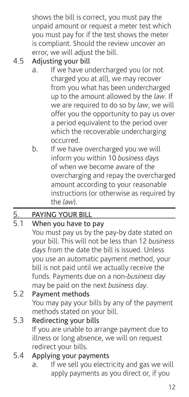shows the bill is correct, you must pay the unpaid amount or request a meter test which you must pay for if the test shows the meter is compliant. Should the review uncover an error, we will adjust the bill.

## 4.5 Adjusting your bill

- a. If we have undercharged you (or not charged you at all), we may recover from you what has been undercharged up to the amount allowed by the *law*. If we are required to do so by *law*, we will offer you the opportunity to pay us over a period equivalent to the period over which the recoverable undercharging occurred.
- b. If we have overcharged you we will inform you within 10 *business days* of when we become aware of the overcharging and repay the overcharged amount according to your reasonable instructions (or otherwise as required by the *law*).

## 5. PAYING YOUR BILL<br>5.1 When you have to

#### When you have to pay

You must pay us by the pay-by date stated on your bill. This will not be less than 12 *business days* from the date the bill is issued. Unless you use an automatic payment method, your bill is not paid until we actually receive the funds. Payments due on a non-*business day* may be paid on the next *business day*.

## 5.2 Payment methods

You may pay your bills by any of the payment methods stated on your bill.

5.3 Redirecting your bills If you are unable to arrange payment due to illness or long absence, we will on request redirect your bills.

#### 5.4 Applying your payments

a. If we sell you electricity and gas we will apply payments as you direct or, if you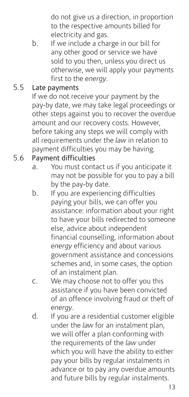do not give us a direction, in proportion to the respective amounts billed for electricity and gas.

b. If we include a charge in our bill for any other good or service we have sold to you then, unless you direct us otherwise, we will apply your payments first to the *energy*.

#### 5.5 Late payments

If we do not receive your payment by the pay-by date, we may take legal proceedings or other steps against you to recover the overdue amount and our recovery costs. However, before taking any steps we will comply with all requirements under the *law* in relation to payment difficulties you may be having.

#### 5.6 Payment difficulties

- a. You must contact us if you anticipate it may not be possible for you to pay a bill by the pay-by date.
- b. If you are experiencing difficulties paying your bills, we can offer you assistance: information about your right to have your bills redirected to someone else, advice about independent financial counselling, information about *energy* efficiency and about various government assistance and concessions schemes and, in some cases, the option of an instalment plan.
- c. We may choose not to offer you this assistance if you have been convicted of an offence involving fraud or theft of *energy*.
- d. If you are a residential customer eligible under the *law* for an instalment plan, we will offer a plan conforming with the requirements of the *law* under which you will have the ability to either pay your bills by regular instalments in advance or to pay any overdue amounts and future bills by regular instalments.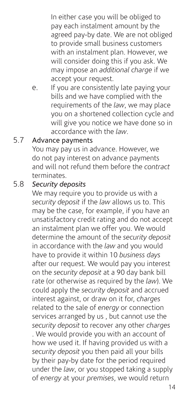In either case you will be obliged to pay each instalment amount by the agreed pay-by date. We are not obliged to provide small business customers with an instalment plan. However, we will consider doing this if you ask. We may impose an *additional charge* if we accept your request.

e. If you are consistently late paying your bills and we have complied with the requirements of the *law*, we may place you on a shortened collection cycle and will give you notice we have done so in accordance with the *law*.

#### 5.7 Advance payments

You may pay us in advance. However, we do not pay interest on advance payments and will not refund them before the *contract* terminates.

#### 5.8 *Security deposits*

We may require you to provide us with a *security deposit* if the *law* allows us to. This may be the case, for example, if you have an unsatisfactory credit rating and do not accept an instalment plan we offer you. We would determine the amount of the *security deposit* in accordance with the *law* and you would have to provide it within 10 *business days* after our request. We would pay you interest on the *security deposit* at a 90 day bank bill rate (or otherwise as required by the *law*). We could apply the *security deposit* and accrued interest against, or draw on it for, *charges* related to the sale of *energy* or connection services arranged by us , but cannot use the *security deposit* to recover any other *charges* . We would provide you with an account of how we used it. If having provided us with a *security deposit* you then paid all your bills by their pay-by date for the period required under the *law*, or you stopped taking a supply of *energy* at your *premises*, we would return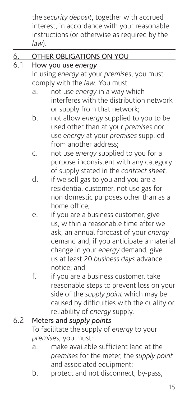the *security deposit*, together with accrued interest, in accordance with your reasonable instructions (or otherwise as required by the *law*).

## 6. OTHER OBLIGATIONS ON YOU

#### 6.1 How you use *energy*

In using *energy* at your *premises*, you must comply with the *law*. You must:

- a. not use *energy* in a way which interferes with the distribution network or supply from that network;
- b. not allow *energy* supplied to you to be used other than at your *premises* nor use *energy* at your *premises* supplied from another address;
- c. not use *energy* supplied to you for a purpose inconsistent with any category of supply stated in the *contract sheet*;
- d. if we sell gas to you and you are a residential customer, not use gas for non domestic purposes other than as a home office;
- e. if you are a business customer, give us, within a reasonable time after we ask, an annual forecast of your *energy* demand and, if you anticipate a material change in your *energy* demand, give us at least 20 *business days* advance notice; and
- f. if you are a business customer, take reasonable steps to prevent loss on your side of the *supply point* which may be caused by difficulties with the quality or reliability of *energy* supply.

## 6.2 Meters and *supply points*

To facilitate the supply of *energy* to your *premises*, you must:

- a. make available sufficient land at the *premises* for the meter, the *supply point* and associated equipment;
- b. protect and not disconnect, by-pass,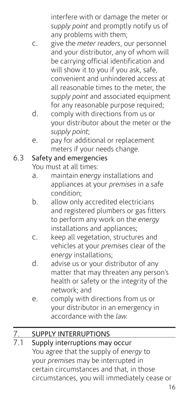interfere with or damage the meter or *supply point* and promptly notify us of any problems with them;

- c. give the *meter readers*, our personnel and your distributor, any of whom will be carrying official identification and will show it to you if you ask, safe, convenient and unhindered access at all reasonable times to the meter, the *supply point* and associated equipment for any reasonable purpose required;
- d. comply with directions from us or your distributor about the meter or the *supply point*;
- e. pay for additional or replacement meters if your needs change.

#### 6.3 Safety and emergencies

You must at all times:

- a. maintain *energy* installations and appliances at your *premises* in a safe condition;
- b. allow only accredited electricians and registered plumbers or gas fitters to perform any work on the *energy* installations and appliances;
- c. keep all vegetation, structures and vehicles at your *premises* clear of the *energy* installations;
- d. advise us or your distributor of any matter that may threaten any person's health or safety or the integrity of the network; and
- e. comply with directions from us or your distributor in an emergency in accordance with the *law.*

## 7. SUPPLY INTERRUPTIONS

Supply interruptions may occur You agree that the supply of *energy* to your *premises* may be interrupted in certain circumstances and that, in those circumstances, you will immediately cease or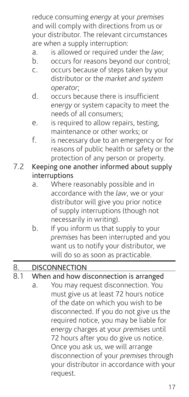reduce consuming *energy* at your *premises* and will comply with directions from us or your distributor. The relevant circumstances are when a supply interruption:

- a. is allowed or required under the *law*;
- b. occurs for reasons beyond our control;
- c. occurs because of steps taken by your distributor or the *market and system operator*;
- d. occurs because there is insufficient *energy* or system capacity to meet the needs of all consumers;
- e. is required to allow repairs, testing, maintenance or other works; or
- f. is necessary due to an emergency or for reasons of public health or safety or the protection of any person or property.
- 7.2 Keeping one another informed about supply interruptions
	- a. Where reasonably possible and in accordance with the *law*, we or your distributor will give you prior notice of supply interruptions (though not necessarily in writing).
	- b. If you inform us that supply to your *premises* has been interrupted and you ,<br>want us to notify your distributor, we will do so as soon as practicable.

#### 8. DISCONNECTION

8.1 When and how disconnection is arranged a. You may request disconnection. You must give us at least 72 hours notice of the date on which you wish to be disconnected. If you do not give us the required notice, you may be liable for *energy* charges at your *premises* until 72 hours after you do give us notice. Once you ask us, we will arrange disconnection of your *premises* through your distributor in accordance with your request.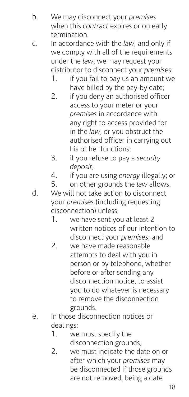- b. We may disconnect your *premises* when this *contract* expires or on early termination.
- c. In accordance with the *law*, and only if we comply with all of the requirements under the *law*, we may request your distributor to disconnect your *premises*:
	- 1. if you fail to pay us an amount we have billed by the pay-by date;
	- 2. if you deny an authorised officer access to your meter or your *premises* in accordance with any right to access provided for in the *law*, or you obstruct the authorised officer in carrying out his or her functions;
	- 3. if you refuse to pay a *security deposit*;
	- 4. if you are using *energy* illegally; or
	- 5. on other grounds the *law* allows.
- d. We will not take action to disconnect your *premises* (including requesting disconnection) unless:
	- 1. we have sent you at least 2 written notices of our intention to disconnect your *premises*; and
	- 2. we have made reasonable attempts to deal with you in person or by telephone, whether before or after sending any disconnection notice, to assist you to do whatever is necessary to remove the disconnection grounds.
- e. In those disconnection notices or dealings:
	- 1. we must specify the disconnection grounds;
	- 2 we must indicate the date on or after which your *premises* may be disconnected if those grounds are not removed, being a date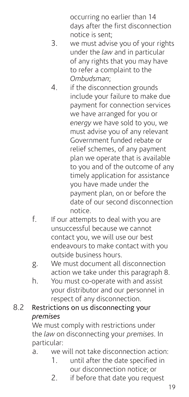occurring no earlier than 14 days after the first disconnection notice is sent;

- 3. we must advise you of your rights under the *law* and in particular of any rights that you may have to refer a complaint to the *Ombudsman*;
- 4. if the disconnection grounds include your failure to make due payment for connection services we have arranged for you or *energy* we have sold to you, we must advise you of any relevant Government funded rebate or relief schemes, of any payment plan we operate that is available to you and of the outcome of any timely application for assistance you have made under the payment plan, on or before the date of our second disconnection notice.
- f. If our attempts to deal with you are unsuccessful because we cannot contact you, we will use our best endeavours to make contact with you outside business hours.
- g. We must document all disconnection action we take under this paragraph 8.
- h. You must co-operate with and assist your distributor and our personnel in respect of any disconnection.
- 8.2 Restrictions on us disconnecting your *premises*

We must comply with restrictions under the *law* on disconnecting your *premises*. In particular:

- a. we will not take disconnection action:
	- 1. until after the date specified in our disconnection notice; or
	- 2. if before that date you request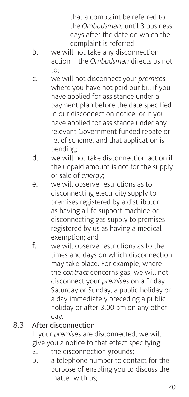that a complaint be referred to the *Ombudsman*, until 3 business days after the date on which the complaint is referred;

- b. we will not take any disconnection action if the *Ombudsman* directs us not to;
- c. we will not disconnect your *premises* where you have not paid our bill if you have applied for assistance under a payment plan before the date specified in our disconnection notice, or if you have applied for assistance under any relevant Government funded rebate or relief scheme, and that application is pending;
- d. we will not take disconnection action if the unpaid amount is not for the supply or sale of *energy*;
- e. we will observe restrictions as to disconnecting electricity supply to premises registered by a distributor as having a life support machine or disconnecting gas supply to premises registered by us as having a medical exemption; and
- f. we will observe restrictions as to the times and days on which disconnection may take place. For example, where the *contract* concerns gas, we will not disconnect your *premises* on a Friday, Saturday or Sunday, a public holiday or a day immediately preceding a public holiday or after 3.00 pm on any other day.

#### 8.3 After disconnection

If your *premises* are disconnected, we will give you a notice to that effect specifying:

- a. the disconnection grounds;
- b. a telephone number to contact for the purpose of enabling you to discuss the matter with us;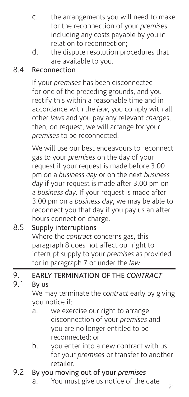- c. the arrangements you will need to make for the reconnection of your *premises* including any costs payable by you in relation to reconnection;
- d. the dispute resolution procedures that are available to you.

## 8.4 Reconnection

If your *premises* has been disconnected for one of the preceding grounds, and you rectify this within a reasonable time and in accordance with the *law*, you comply with all other *laws* and you pay any relevant *charges*, then, on request, we will arrange for your *premises* to be reconnected.

We will use our best endeavours to reconnect gas to your *premises* on the day of your request if your request is made before 3.00 pm on a *business day* or on the next *business day* if your request is made after 3.00 pm on a *business day*. If your request is made after 3.00 pm on a *business day*, we may be able to reconnect you that day if you pay us an after hours connection charge.

### 8.5 Supply interruptions Where the *contract* concerns gas, this paragraph 8 does not affect our right to interrupt supply to your *premises* as provided for in paragraph 7 or under the *law*.

## 9. EARLY TERMINATION OF THE *CONTRACT*

#### By us

We may terminate the *contract* early by giving you notice if:

- a. we exercise our right to arrange disconnection of your *premises* and you are no longer entitled to be reconnected; or
- b. you enter into a new contract with us for your *premises* or transfer to another retailer.

#### 9.2 By you moving out of your *premises*

a. You must give us notice of the date  $\frac{21}{21}$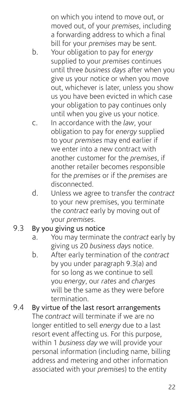on which you intend to move out, or moved out, of your *premises*, including a forwarding address to which a final bill for your *premises* may be sent.

- b. Your obligation to pay for *energy* supplied to your *premises* continues until three *business days* after when you give us your notice or when you move out, whichever is later, unless you show us you have been evicted in which case your obligation to pay continues only until when you give us your notice.
- c. In accordance with the *law*, your obligation to pay for *energy* supplied to your *premises* may end earlier if we enter into a new contract with another customer for the *premises*, if another retailer becomes responsible for the *premises* or if the *premises* are disconnected.
- d. Unless we agree to transfer the *contract* to your new premises, you terminate the *contract* early by moving out of your *premises*.

#### 9.3 By you giving us notice

- a. You may terminate the *contract* early by giving us 20 *business days* notice.
- b. After early termination of the *contract* by you under paragraph 9.3(a) and for so long as we continue to sell you *energy*, our *rates* and *charges* will be the same as they were before termination.
- 9.4 By virtue of the last resort arrangements The *contract* will terminate if we are no longer entitled to sell *energy* due to a last resort event affecting us. For this purpose, within 1 *business day* we will provide your personal information (including name, billing address and metering and other information associated with your *premises*) to the entity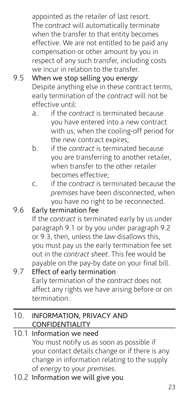appointed as the retailer of last resort. The *contract* will automatically terminate when the transfer to that entity becomes effective. We are not entitled to be paid any compensation or other amount by you in respect of any such transfer, including costs we incur in relation to the transfer.

- 9.5 When we stop selling you *energy* Despite anything else in these contract terms, early termination of the *contract* will not be effective until:
	- a. if the *contract* is terminated because you have entered into a new contract with us, when the cooling-off period for the new contract expires;
	- b. if the *contract* is terminated because you are transferring to another retailer, when transfer to the other retailer becomes effective;
	- c. if the *contract* is terminated because the *premises* have been disconnected, when you have no right to be reconnected.
- 9.6 Early termination fee If the *contract* is terminated early by us under paragraph 9.1 or by you under paragraph 9.2 or 9.3, then, unless the *law* disallows this, you must pay us the early termination fee set out in the *contract sheet*. This fee would be payable on the pay-by date on your final bill. 9.7 Effect of early termination

Early termination of the *contract* does not affect any rights we have arising before or on termination.

#### 10. INFORMATION, PRIVACY AND CONFIDENTIALITY

- 10.1 Information we need You must notify us as soon as possible if your contact details change or if there is any change in information relating to the supply of *energy* to your *premises*.
- 10.2 Information we will give you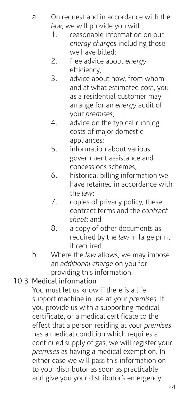- a. On request and in accordance with the *law*, we will provide you with:
	- 1. reasonable information on our *energy charges* including those we have billed;
	- 2. free advice about *energy* efficiency;
	- 3. advice about how, from whom and at what estimated cost, you as a residential customer may arrange for an *energy* audit of your *premises*;
	- 4. advice on the typical running costs of major domestic appliances;
	- 5. information about various government assistance and concessions schemes;
	- 6. historical billing information we have retained in accordance with the *law*;
	- 7. copies of privacy policy, these contract terms and the *contract sheet*; and
	- 8. a copy of other documents as required by the *law* in large print if required.
- b. Where the *law* allows, we may impose an *additional charge* on you for providing this information.

## 10.3 Medical information

You must let us know if there is a life support machine in use at your *premises*. If you provide us with a supporting medical certificate, or a medical certificate to the effect that a person residing at your *premises* has a medical condition which requires a continued supply of gas, we will register your *premises* as having a medical exemption. In either case we will pass this information on to your distributor as soon as practicable and give you your distributor's emergency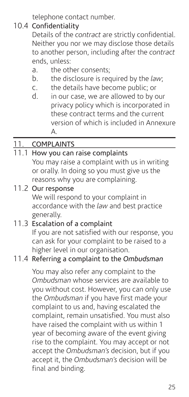telephone contact number.

#### 10.4 Confidentiality

Details of the *contract* are strictly confidential. Neither you nor we may disclose those details to another person, including after the *contract* ends, unless:

- a. the other consents;
- b. the disclosure is required by the *law*;
- c. the details have become public; or<br>d in our case we are allowed to by c
- in our case, we are allowed to by our privacy policy which is incorporated in these contract terms and the current version of which is included in Annexure A.

## 11. COMPLAINTS

## 11.1 How you can raise complaints

- You may raise a complaint with us in writing or orally. In doing so you must give us the reasons why you are complaining.
- 11.2 Our response

We will respond to your complaint in accordance with the *law* and best practice generally.

## 11.3 Escalation of a complaint

If you are not satisfied with our response, you can ask for your complaint to be raised to a higher level in our organisation.

## 11.4 Referring a complaint to the *Ombudsman*

You may also refer any complaint to the *Ombudsman* whose services are available to you without cost. However, you can only use the *Ombudsman* if you have first made your complaint to us and, having escalated the complaint, remain unsatisfied. You must also have raised the complaint with us within 1 year of becoming aware of the event giving rise to the complaint. You may accept or not accept the *Ombudsman's* decision, but if you accept it, the *Ombudsman's* decision will be final and binding.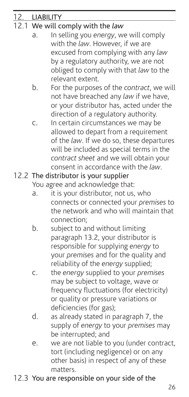| 12. LIABILITY                    |                                                                             |  |  |  |
|----------------------------------|-----------------------------------------------------------------------------|--|--|--|
| 12.1 We will comply with the law |                                                                             |  |  |  |
| а.                               | In selling you energy, we will comply                                       |  |  |  |
|                                  | with the law. However, if we are                                            |  |  |  |
|                                  | excused from complying with any law                                         |  |  |  |
|                                  | by a regulatory authority, we are not                                       |  |  |  |
|                                  | obliged to comply with that law to the                                      |  |  |  |
|                                  | relevant extent.                                                            |  |  |  |
| b.                               | For the purposes of the contract, we will                                   |  |  |  |
|                                  | not have breached any law if we have,                                       |  |  |  |
|                                  | or your distributor has, acted under the                                    |  |  |  |
|                                  | direction of a regulatory authority.                                        |  |  |  |
| C.                               | In certain circumstances we may be                                          |  |  |  |
|                                  | allowed to depart from a requirement                                        |  |  |  |
|                                  | of the law. If we do so, these departures                                   |  |  |  |
|                                  | will be included as special terms in the                                    |  |  |  |
|                                  | contract sheet and we will obtain your                                      |  |  |  |
|                                  | consent in accordance with the law.                                         |  |  |  |
|                                  | 12.2 The distributor is your supplier                                       |  |  |  |
|                                  | You agree and acknowledge that:                                             |  |  |  |
| a.                               | it is your distributor, not us, who                                         |  |  |  |
|                                  | connects or connected your premises to                                      |  |  |  |
|                                  | the network and who will maintain that                                      |  |  |  |
|                                  | connection;                                                                 |  |  |  |
| b.                               | subject to and without limiting                                             |  |  |  |
|                                  | paragraph 13.2, your distributor is                                         |  |  |  |
|                                  | responsible for supplying energy to                                         |  |  |  |
|                                  | your premises and for the quality and                                       |  |  |  |
| C.                               | reliability of the energy supplied;<br>the energy supplied to your premises |  |  |  |
|                                  | may be subject to voltage, wave or                                          |  |  |  |
|                                  | frequency fluctuations (for electricity)                                    |  |  |  |
|                                  | or quality or pressure variations or                                        |  |  |  |
|                                  | deficiencies (for gas);                                                     |  |  |  |
| d.                               | as already stated in paragraph 7, the                                       |  |  |  |
|                                  | supply of energy to your premises may                                       |  |  |  |
|                                  | be interrupted; and                                                         |  |  |  |
| е.                               | we are not liable to you (under contract,                                   |  |  |  |
|                                  | tort (including negligence) or on any                                       |  |  |  |
|                                  | other basis) in respect of any of these                                     |  |  |  |
|                                  | matters.                                                                    |  |  |  |
|                                  | 12.3 You are responsible on your side of the                                |  |  |  |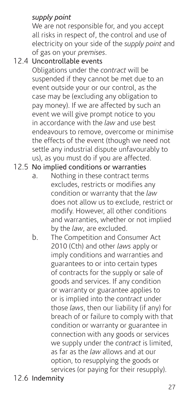### *supply point*

We are not responsible for, and you accept all risks in respect of, the control and use of electricity on your side of the *supply point* and of gas on your *premises*.

12.4 Uncontrollable events

Obligations under the *contract* will be suspended if they cannot be met due to an event outside your or our control, as the case may be (excluding any obligation to pay money). If we are affected by such an event we will give prompt notice to you in accordance with the *law* and use best endeavours to remove, overcome or minimise the effects of the event (though we need not settle any industrial dispute unfavourably to us), as you must do if you are affected.

#### 12.5 No implied conditions or warranties

- a. Nothing in these contract terms excludes, restricts or modifies any condition or warranty that the *law* does not allow us to exclude, restrict or modify. However, all other conditions and warranties, whether or not implied by the *law*, are excluded.
- b. The Competition and Consumer Act 2010 (Cth) and other *laws* apply or imply conditions and warranties and guarantees to or into certain types of contracts for the supply or sale of goods and services. If any condition or warranty or guarantee applies to or is implied into the *contract* under those *laws*, then our liability (if any) for breach of or failure to comply with that condition or warranty or guarantee in connection with any goods or services we supply under the *contract* is limited, as far as the *law* allows and at our option, to resupplying the goods or services (or paying for their resupply).
- 12.6 Indemnity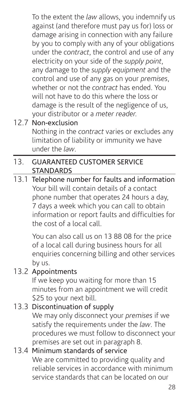To the extent the *law* allows, you indemnify us against (and therefore must pay us for) loss or damage arising in connection with any failure by you to comply with any of your obligations under the *contract*, the control and use of any electricity on your side of the *supply point*, any damage to the *supply equipment* and the control and use of any gas on your *premises*, whether or not the *contract* has ended. You will not have to do this where the loss or damage is the result of the negligence of us, your distributor or a *meter reader.*

## 12.7 Non-exclusion

Nothing in the *contract* varies or excludes any limitation of liability or immunity we have under the *law*.

#### 13. GUARANTEED CUSTOMER SERVICE **STANDARDS**

13.1 Telephone number for faults and information Your bill will contain details of a contact phone number that operates 24 hours a day, 7 days a week which you can call to obtain information or report faults and difficulties for the cost of a local call.

> You can also call us on 13 88 08 for the price of a local call during business hours for all enquiries concerning billing and other services by us.

#### 13.2 Appointments

If we keep you waiting for more than 15 minutes from an appointment we will credit \$25 to your next bill.

#### 13.3 Discontinuation of supply

We may only disconnect your *premises* if we satisfy the requirements under the *law*. The procedures we must follow to disconnect your premises are set out in paragraph 8.

#### 13.4 Minimum standards of service We are committed to providing quality and reliable services in accordance with minimum service standards that can be located on our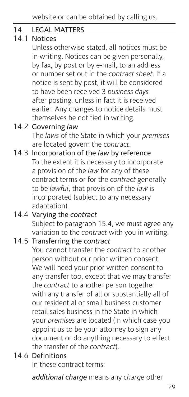#### 14. LEGAL MATTERS

## $\frac{1}{14}$  1 Notices

Unless otherwise stated, all notices must be in writing. Notices can be given personally, by fax, by post or by e-mail, to an address or number set out in the *contract sheet*. If a notice is sent by post, it will be considered to have been received 3 *business days* after posting, unless in fact it is received earlier. Any changes to notice details must themselves be notified in writing.

#### 14.2 Governing *law*

The *laws* of the State in which your *premises* are located govern the *contract*.

14.3 Incorporation of the *law* by reference To the extent it is necessary to incorporate a provision of the *law* for any of these contract terms or for the *contract* generally to be *lawful*, that provision of the *law* is incorporated (subject to any necessary adaptation).

```
14.4 Varying the contract
Subject to paragraph 15.4, we must agree any 
 variation to the contract with you in writing.
```
#### 14.5 Transferring the *contract*

You cannot transfer the *contract* to another person without our prior written consent. We will need your prior written consent to any transfer too, except that we may transfer the *contract* to another person together with any transfer of all or substantially all of our residential or small business customer retail sales business in the State in which your *premises* are located (in which case you appoint us to be your attorney to sign any document or do anything necessary to effect the transfer of the *contract*).

#### 14.6 Definitions

In these contract terms:

*additional charge* means any *charge* other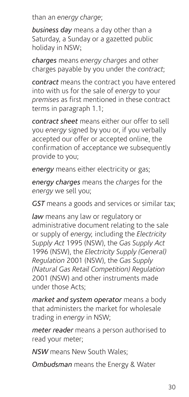than an *energy charge*;

*business day* means a day other than a Saturday, a Sunday or a gazetted public holiday in NSW;

*charges* means *energy charges* and other charges payable by you under the *contract*;

*contract* means the contract you have entered into with us for the sale of *energy* to your *premises* as first mentioned in these contract terms in paragraph 1.1;

*contract sheet* means either our offer to sell you *energy* signed by you or, if you verbally accepted our offer or accepted online, the confirmation of acceptance we subsequently provide to you;

*energy* means either electricity or gas;

*energy charges* means the *charges* for the *energy* we sell you;

*GST* means a goods and services or similar tax;

*law* means any law or regulatory or administrative document relating to the sale or supply of *energy,* including the *Electricity Supply Act* 1995 (NSW), the *Gas Supply Act*  1996 (NSW), the *Electricity Supply (General) Regulation* 2001 (NSW), the *Gas Supply (Natural Gas Retail Competition) Regulation*  2001 (NSW) and other instruments made under those Acts;

*market and system operator* means a body that administers the market for wholesale trading in *energy* in NSW;

*meter reader* means a person authorised to read your meter;

*NSW* means New South Wales;

*Ombudsman* means the Energy & Water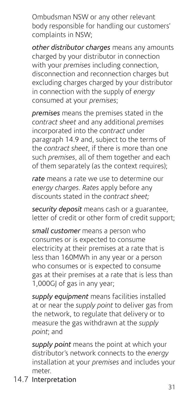Ombudsman NSW or any other relevant body responsible for handling our customers' complaints in NSW;

*other distributor charges* means any amounts charged by your distributor in connection with your *premises* including connection, disconnection and reconnection charges but excluding charges charged by your distributor in connection with the supply of *energy* consumed at your *premises*;

*premises* means the premises stated in the *contract sheet* and any additional *premises* incorporated into the *contract* under paragraph 14.9 and, subject to the terms of the *contract sheet*, if there is more than one such *premises*, all of them together and each of them separately (as the context requires);

*rate* means a rate we use to determine our *energy charges*. *Rates* apply before any discounts stated in the *contract sheet;* 

*security deposit* means cash or a guarantee, letter of credit or other form of credit support;

*small customer* means a person who consumes or is expected to consume electricity at their premises at a rate that is less than 160MWh in any year or a person who consumes or is expected to consume gas at their premises at a rate that is less than 1,000GJ of gas in any year;

*supply equipment* means facilities installed at or near the *supply point* to deliver gas from the network, to regulate that delivery or to measure the gas withdrawn at the *supply point*; and

*supply point* means the point at which your distributor's network connects to the *energy* installation at your *premises* and includes your meter.

14.7 Interpretation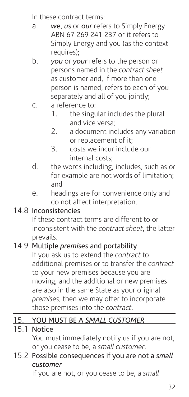In these contract terms:

- a. *we*, *us* or *our* refers to Simply Energy ABN 67 269 241 237 or it refers to Simply Energy and you (as the context requires);
- b. *you* or *your* refers to the person or persons named in the *contract sheet* as customer and, if more than one person is named, refers to each of you separately and all of you jointly;
- c. a reference to:
	- 1. the singular includes the plural and vice versa;
	- 2. a document includes any variation or replacement of it;
	- 3. costs we incur include our internal costs;
- d. the words including, includes, such as or for example are not words of limitation; and
- e. headings are for convenience only and do not affect interpretation.

## 14.8 Inconsistencies

If these contract terms are different to or inconsistent with the *contract sheet*, the latter prevails.

## 14.9 Multiple *premises* and portability

If you ask us to extend the *contract* to additional premises or to transfer the *contract* to your new premises because you are moving, and the additional or new premises are also in the same State as your original *premises*, then we may offer to incorporate those premises into the *contract*.

## 15. YOU MUST BE A *SMALL CUSTOMER*

#### 15.1 Notice

You must immediately notify us if you are not, or you cease to be, a *small customer*.

### 15.2 Possible consequences if you are not a *small customer*

If you are not, or you cease to be, a *small*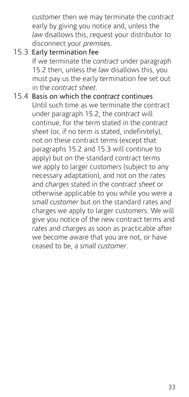*customer* then we may terminate the *contract* early by giving you notice and, unless the *law* disallows this, request your distributor to disconnect your *premises*.

- 15.3 Early termination fee If we terminate the *contract* under paragraph 15.2 then, unless the *law* disallows this, you must pay us the early termination fee set out in the *contract sheet*.
- 15.4 Basis on which the *contract* continues Until such time as we terminate the contract under paragraph 15.2, the *contract* will continue, for the term stated in the *contract sheet* (or, if no term is stated, indefinitely), not on these contract terms (except that paragraphs 15.2 and 15.3 will continue to apply) but on the standard contract terms we apply to larger customers (subject to any necessary adaptation), and not on the *rates* and *charges* stated in the *contract sheet* or otherwise applicable to you while you were a *small customer* but on the standard rates and charges we apply to larger customers. We will give you notice of the new contract terms and *rates* and *charges* as soon as practicable after we become aware that you are not, or have ceased to be, a *small customer*.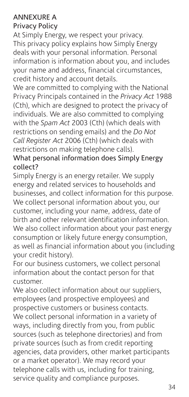## ANNEXURE A

## Privacy Policy

At Simply Energy, we respect your privacy. This privacy policy explains how Simply Energy deals with your personal information. Personal information is information about you, and includes your name and address, financial circumstances, credit history and account details.

We are committed to complying with the National Privacy Principals contained in the *Privacy Act* 1988 (Cth), which are designed to protect the privacy of individuals. We are also committed to complying with the *Spam Act* 2003 (Cth) (which deals with restrictions on sending emails) and the *Do Not Call Register Act* 2006 (Cth) (which deals with restrictions on making telephone calls).

#### What personal information does Simply Energy collect?

Simply Energy is an energy retailer. We supply energy and related services to households and businesses, and collect information for this purpose. We collect personal information about you, our customer, including your name, address, date of birth and other relevant identification information. We also collect information about your past energy consumption or likely future energy consumption, as well as financial information about you (including your credit history).

For our business customers, we collect personal information about the contact person for that customer.

We also collect information about our suppliers, employees (and prospective employees) and prospective customers or business contacts. We collect personal information in a variety of ways, including directly from you, from public sources (such as telephone directories) and from private sources (such as from credit reporting agencies, data providers, other market participants or a market operator). We may record your telephone calls with us, including for training, service quality and compliance purposes.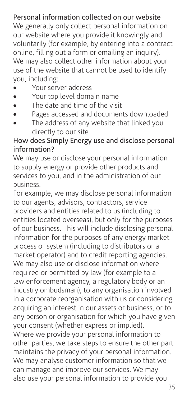#### Personal information collected on our website

We generally only collect personal information on our website where you provide it knowingly and voluntarily (for example, by entering into a contract online, filling out a form or emailing an inquiry). We may also collect other information about your use of the website that cannot be used to identify you, including:

- • Your server address
- • Your top level domain name
- The date and time of the visit
- Pages accessed and documents downloaded
- The address of any website that linked you directly to our site

#### How does Simply Energy use and disclose personal information?

We may use or disclose your personal information to supply energy or provide other products and services to you, and in the administration of our business.

For example, we may disclose personal information to our agents, advisors, contractors, service providers and entities related to us (including to entities located overseas), but only for the purposes of our business. This will include disclosing personal information for the purposes of any energy market process or system (including to distributors or a market operator) and to credit reporting agencies. We may also use or disclose information where required or permitted by law (for example to a law enforcement agency, a regulatory body or an industry ombudsman), to any organisation involved in a corporate reorganisation with us or considering acquiring an interest in our assets or business, or to any person or organisation for which you have given your consent (whether express or implied). Where we provide your personal information to other parties, we take steps to ensure the other part maintains the privacy of your personal information. We may analyse customer information so that we can manage and improve our services. We may also use your personal information to provide you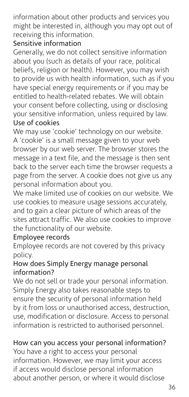information about other products and services you might be interested in, although you may opt out of receiving this information.

#### Sensitive information

Generally, we do not collect sensitive information about you (such as details of your race, political beliefs, religion or health). However, you may wish to provide us with health information, such as if you have special energy requirements or if you may be entitled to health-related rebates. We will obtain your consent before collecting, using or disclosing your sensitive information, unless required by law. Use of cookies

We may use 'cookie' technology on our website. A 'cookie' is a small message given to your web browser by our web server. The browser stores the message in a text file, and the message is then sent back to the server each time the browser requests a page from the server. A cookie does not give us any personal information about you.

We make limited use of cookies on our website. We use cookies to measure usage sessions accurately, and to gain a clear picture of which areas of the sites attract traffic. We also use cookies to improve the functionality of our website.

#### Employee records

Employee records are not covered by this privacy policy.

#### How does Simply Energy manage personal information?

We do not sell or trade your personal information. Simply Energy also takes reasonable steps to ensure the security of personal information held by it from loss or unauthorised access, destruction, use, modification or disclosure. Access to personal information is restricted to authorised personnel.

## How can you access your personal information?

You have a right to access your personal information. However, we may limit your access if access would disclose personal information about another person, or where it would disclose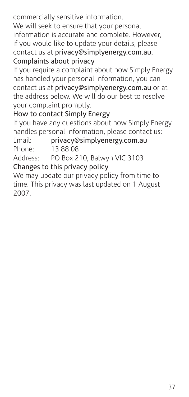commercially sensitive information. We will seek to ensure that your personal information is accurate and complete. However, if you would like to update your details, please contact us at privacy@simplyenergy.com.au. Complaints about privacy

If you require a complaint about how Simply Energy has handled your personal information, you can contact us at privacy@simplyenergy.com.au or at the address below. We will do our best to resolve your complaint promptly.

## How to contact Simply Energy

If you have any questions about how Simply Energy handles personal information, please contact us:

Email: privacy@simplyenergy.com.au Phone: 13 88 08 Address: PO Box 210, Balwyn VIC 3103

Changes to this privacy policy

We may update our privacy policy from time to time. This privacy was last updated on 1 August 2007.